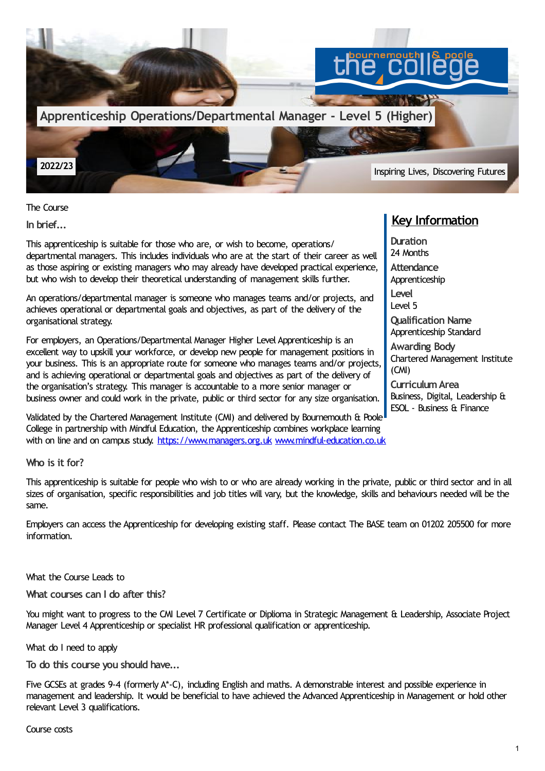

The Course

**In brief...**

This apprenticeship is suitable for those who are, or wish to become, operations/ departmental managers. This includes individuals who are at the start of their career as well as those aspiring or existing managers who may already have developed practical experience, but who wish to develop their theoretical understanding of management skills further.

An operations/departmental manager is someone who manages teams and/or projects, and achieves operational or departmental goals and objectives, as part of the delivery of the organisational strategy.

For employers, an Operations/Departmental Manager Higher Level Apprenticeship is an excellent way to upskill your workforce, or develop new people for management positions in your business. This is an appropriate route for someone who manages teams and/or projects, and is achieving operational or departmental goals and objectives as part of the delivery of the organisation's strategy. This manager is accountable to a more senior manager or business owner and could work in the private, public or third sector for any size organisation.

Validated by the Chartered Management Institute (CMI) and delivered by Bournemouth & Poole College in partnership with Mindful Education, the Apprenticeship combines workplace learning with on line and on campus study. [https://www.managers.org.uk](https://www.thecollege.co.uk/www.managers.org.uk) [www.mindful-education.co.uk](http://www.mindful-education.co.uk)

# **Key Information**

**Duration** 24 Months **Attendance** Apprenticeship **Level** Level 5 **Qualification Name** Apprenticeship Standard **Awarding Body** Chartered Management Institute (CMI) **CurriculumArea** Business, Digital, Leadership & ESOL - Business & Finance

**Who is it for?**

This apprenticeship is suitable for people who wish to or who are already working in the private, public or third sector and in all sizes of organisation, specific responsibilities and job titles will vary, but the knowledge, skills and behaviours needed will be the same.

Employers can access the Apprenticeship for developing existing staff. Please contact The BASE team on 01202 205500 for more information.

What the Course Leads to

**What courses can I do after this?**

You might want to progress to the CMI Level 7 Certificate or Diplioma in Strategic Management & Leadership, Associate Project Manager Level 4 Apprenticeship or specialist HR professional qualification or apprenticeship.

What do I need to apply

**To do this course you should have...**

Five GCSEs at grades 9-4 (formerly A\*-C), including English and maths. A demonstrable interest and possible experience in management and leadership. It would be beneficial to have achieved the Advanced Apprenticeship in Management or hold other relevant Level 3 qualifications.